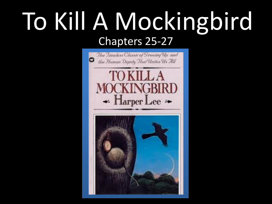## To Kill A Mockingbird Chapters 25-27

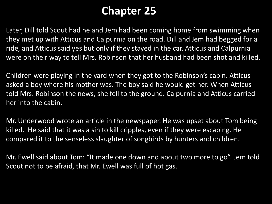## **Chapter 25**

Later, Dill told Scout had he and Jem had been coming home from swimming when they met up with Atticus and Calpurnia on the road. Dill and Jem had begged for a ride, and Atticus said yes but only if they stayed in the car. Atticus and Calpurnia were on their way to tell Mrs. Robinson that her husband had been shot and killed.

Children were playing in the yard when they got to the Robinson's cabin. Atticus asked a boy where his mother was. The boy said he would get her. When Atticus told Mrs. Robinson the news, she fell to the ground. Calpurnia and Atticus carried her into the cabin.

Mr. Underwood wrote an article in the newspaper. He was upset about Tom being killed. He said that it was a sin to kill cripples, even if they were escaping. He compared it to the senseless slaughter of songbirds by hunters and children.

Mr. Ewell said about Tom: "It made one down and about two more to go". Jem told Scout not to be afraid, that Mr. Ewell was full of hot gas.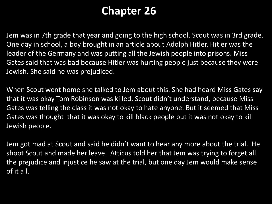## **Chapter 26**

Jem was in 7th grade that year and going to the high school. Scout was in 3rd grade. One day in school, a boy brought in an article about Adolph Hitler. Hitler was the leader of the Germany and was putting all the Jewish people into prisons. Miss Gates said that was bad because Hitler was hurting people just because they were Jewish. She said he was prejudiced.

When Scout went home she talked to Jem about this. She had heard Miss Gates say that it was okay Tom Robinson was killed. Scout didn't understand, because Miss Gates was telling the class it was not okay to hate anyone. But it seemed that Miss Gates was thought that it was okay to kill black people but it was not okay to kill Jewish people.

Jem got mad at Scout and said he didn't want to hear any more about the trial. He shoot Scout and made her leave. Atticus told her that Jem was trying to forget all the prejudice and injustice he saw at the trial, but one day Jem would make sense of it all.